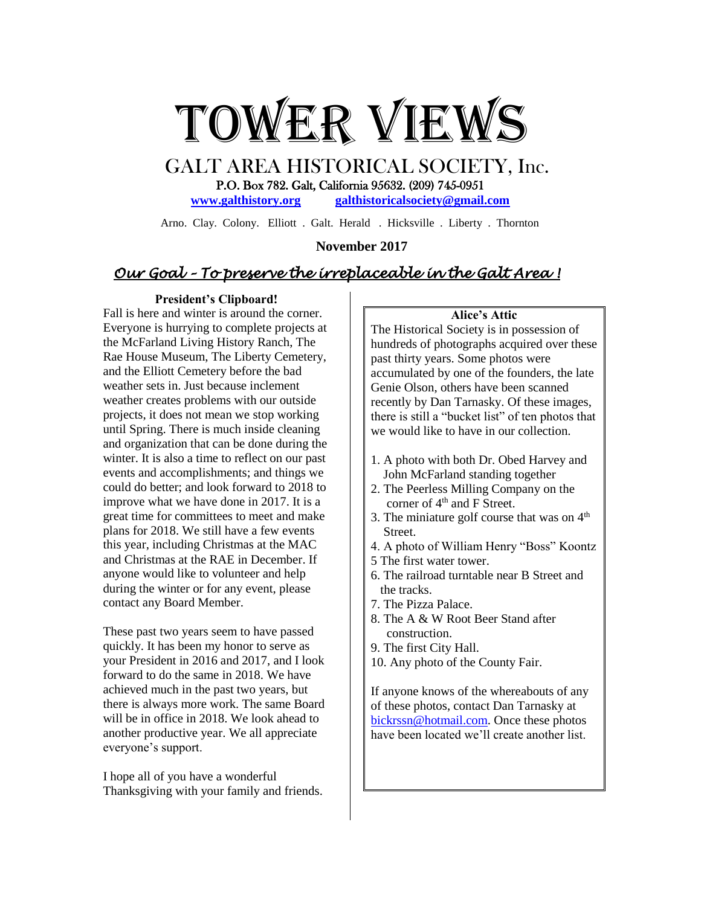

# GALT AREA HISTORICAL SOCIETY, Inc.

P.O. Box 782. Galt, California 95632. (209) 745-0951 **[www.galthistory.org](http://www.galthistory.org/) [galthistoricalsociety@gmail.com](mailto:galthistoricalsociety@gmail.com)**

Arno. Clay. Colony. Elliott . Galt. Herald . Hicksville . Liberty . Thornton

# **November 2017**

# *Our Goal – To preserve the irreplaceable in the Galt Area !*

## **President's Clipboard!**

Fall is here and winter is around the corner. Everyone is hurrying to complete projects at the McFarland Living History Ranch, The Rae House Museum, The Liberty Cemetery, and the Elliott Cemetery before the bad weather sets in. Just because inclement weather creates problems with our outside projects, it does not mean we stop working until Spring. There is much inside cleaning and organization that can be done during the winter. It is also a time to reflect on our past events and accomplishments; and things we could do better; and look forward to 2018 to improve what we have done in 2017. It is a great time for committees to meet and make plans for 2018. We still have a few events this year, including Christmas at the MAC and Christmas at the RAE in December. If anyone would like to volunteer and help during the winter or for any event, please contact any Board Member.

These past two years seem to have passed quickly. It has been my honor to serve as your President in 2016 and 2017, and I look forward to do the same in 2018. We have achieved much in the past two years, but there is always more work. The same Board will be in office in 2018. We look ahead to another productive year. We all appreciate everyone's support.

I hope all of you have a wonderful Thanksgiving with your family and friends.

## **Alice's Attic**

The Historical Society is in possession of hundreds of photographs acquired over these past thirty years. Some photos were accumulated by one of the founders, the late Genie Olson, others have been scanned recently by Dan Tarnasky. Of these images, there is still a "bucket list" of ten photos that we would like to have in our collection.

- 1. A photo with both Dr. Obed Harvey and John McFarland standing together
- 2. The Peerless Milling Company on the corner of  $4<sup>th</sup>$  and F Street.
- 3. The miniature golf course that was on  $4<sup>th</sup>$ Street.
- 4. A photo of William Henry "Boss" Koontz
- 5 The first water tower.
- 6. The railroad turntable near B Street and the tracks.
- 7. The Pizza Palace.
- 8. The A & W Root Beer Stand after construction.
- 9. The first City Hall.
- 10. Any photo of the County Fair.

If anyone knows of the whereabouts of any of these photos, contact Dan Tarnasky at [bickrssn@hotmail.com.](mailto:bickrssn@hotmail.com) Once these photos have been located we'll create another list.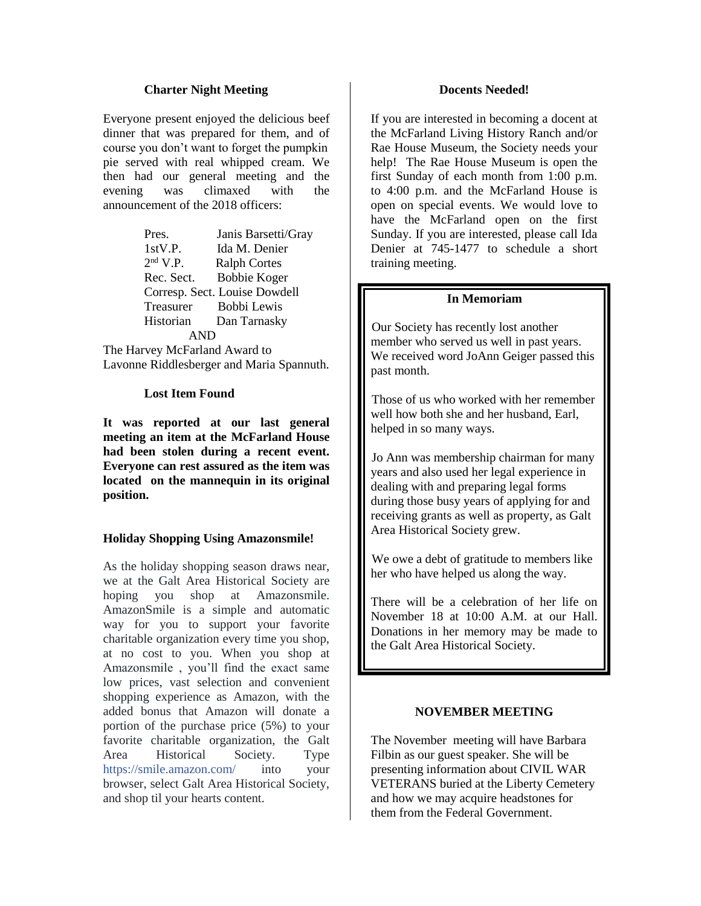#### **Charter Night Meeting**

Everyone present enjoyed the delicious beef dinner that was prepared for them, and of course you don't want to forget the pumpkin pie served with real whipped cream. We then had our general meeting and the evening was climaxed with the announcement of the 2018 officers:

| Pres.      | Janis Barsetti/Gray           |
|------------|-------------------------------|
| 1stV.P.    | Ida M. Denier                 |
| $2nd$ V.P. | <b>Ralph Cortes</b>           |
| Rec. Sect. | <b>Bobbie Koger</b>           |
|            | Corresp. Sect. Louise Dowdell |
| Treasurer  | Bobbi Lewis                   |
| Historian  | Dan Tarnasky                  |
|            |                               |

The Harvey McFarland Award to Lavonne Riddlesberger and Maria Spannuth.

#### **Lost Item Found**

**It was reported at our last general meeting an item at the McFarland House had been stolen during a recent event. Everyone can rest assured as the item was located on the mannequin in its original position.**

#### **Holiday Shopping Using Amazonsmile!**

As the holiday shopping season draws near, we at the Galt Area Historical Society are hoping you shop at Amazonsmile. AmazonSmile is a simple and automatic way for you to support your favorite charitable organization every time you shop, at no cost to you. When you shop at Amazonsmile , you'll find the exact same low prices, vast selection and convenient shopping experience as Amazon, with the added bonus that Amazon will donate a portion of the purchase price (5%) to your favorite charitable organization, the Galt Area Historical Society. Type [https://smile.amazon.com/](https://l.facebook.com/l.php?u=https%3A%2F%2Fsmile.amazon.com%2F&h=ATOc0F64moQeemU7O5tkv4dLhUnWRmanOpcJRgQtmBiNkiYur7ketG_Sp0hENdRQF2e44sR0B1roGlztLyQ6BV-l57PFoXyqXlm8ihzrOt7vkH6Bv9PwoFOfsBdDyd04Ld31Tk4u0T2vMkGKa4-2Mud4Bf3IJhYo1JWDzlB0vHdOt0gqv2YNTy0Wvx5etV8wu7N8mM_z1ZLcoTpPHb9OK7YE0XbzuDlf8_VyIDotj1gKIc2jtzdMtrxzFEn0F3VM-USkQR_FOqKIwxjaOJyZghS6h2Mt-QX7PzVJFcBTDeEVQPDCK8dwRQ) into your browser, select Galt Area Historical Society, and shop til your hearts content.

#### **Docents Needed!**

If you are interested in becoming a docent at the McFarland Living History Ranch and/or Rae House Museum, the Society needs your help! The Rae House Museum is open the first Sunday of each month from 1:00 p.m. to 4:00 p.m. and the McFarland House is open on special events. We would love to have the McFarland open on the first Sunday. If you are interested, please call Ida Denier at 745-1477 to schedule a short training meeting.

#### **In Memoriam**

Our Society has recently lost another member who served us well in past years. We received word JoAnn Geiger passed this past month.

Those of us who worked with her remember well how both she and her husband, Earl, helped in so many ways.

Jo Ann was membership chairman for many years and also used her legal experience in dealing with and preparing legal forms during those busy years of applying for and receiving grants as well as property, as Galt Area Historical Society grew.

We owe a debt of gratitude to members like her who have helped us along the way.

There will be a celebration of her life on November 18 at 10:00 A.M. at our Hall. Donations in her memory may be made to the Galt Area Historical Society.

#### **NOVEMBER MEETING**

The November meeting will have Barbara Filbin as our guest speaker. She will be presenting information about CIVIL WAR VETERANS buried at the Liberty Cemetery and how we may acquire headstones for them from the Federal Government.